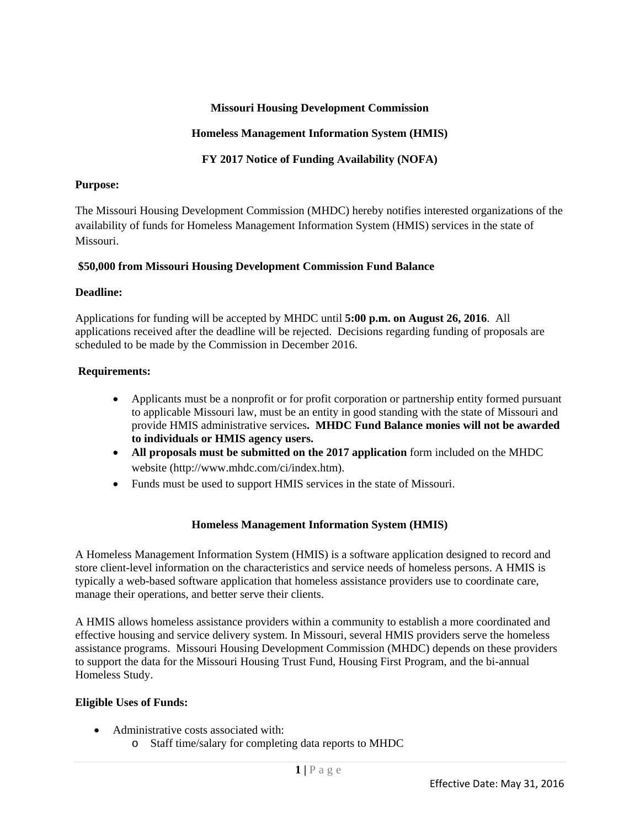## **Missouri Housing Development Commission**

## **Homeless Management Information System (HMIS)**

**FY 2017 Notice of Funding Availability (NOFA)** 

## **Purpose:**

The Missouri Housing Development Commission (MHDC) hereby notifies interested organizations of the availability of funds for Homeless Management Information System (HMIS) services in the state of Missouri.

## **\$50,000 from Missouri Housing Development Commission Fund Balance**

## **Deadline:**

Applications for funding will be accepted by MHDC until **5:00 p.m. on August 26, 2016**. All applications received after the deadline will be rejected. Decisions regarding funding of proposals are scheduled to be made by the Commission in December 2016.

## **Requirements:**

- Applicants must be a nonprofit or for profit corporation or partnership entity formed pursuant to applicable Missouri law, must be an entity in good standing with the state of Missouri and provide HMIS administrative services**. MHDC Fund Balance monies will not be awarded to individuals or HMIS agency users.**
- **All proposals must be submitted on the 2017 application** form included on the MHDC website (http://www.mhdc.com/ci/index.htm).
- Funds must be used to support HMIS services in the state of Missouri.

#### **Homeless Management Information System (HMIS)**

A Homeless Management Information System (HMIS) is a software application designed to record and store client-level information on the characteristics and service needs of homeless persons. A HMIS is typically a web-based software application that homeless assistance providers use to coordinate care, manage their operations, and better serve their clients.

A HMIS allows homeless assistance providers within a community to establish a more coordinated and effective housing and service delivery system. In Missouri, several HMIS providers serve the homeless assistance programs. Missouri Housing Development Commission (MHDC) depends on these providers to support the data for the Missouri Housing Trust Fund, Housing First Program, and the bi-annual Homeless Study.

## **Eligible Uses of Funds:**

- Administrative costs associated with:
	- o Staff time/salary for completing data reports to MHDC